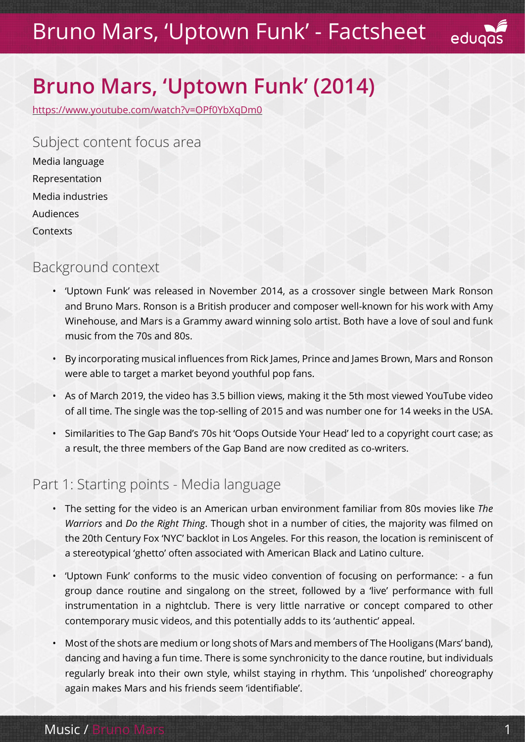

# **Bruno Mars, 'Uptown Funk' (2014)**

<https://www.youtube.com/watch?v=OPf0YbXqDm0>

Subject content focus area Media language Representation Media industries Audiences **Contexts** 

### Background context

- 'Uptown Funk' was released in November 2014, as a crossover single between Mark Ronson and Bruno Mars. Ronson is a British producer and composer well-known for his work with Amy Winehouse, and Mars is a Grammy award winning solo artist. Both have a love of soul and funk music from the 70s and 80s.
- By incorporating musical influences from Rick James, Prince and James Brown, Mars and Ronson were able to target a market beyond youthful pop fans.
- As of March 2019, the video has 3.5 billion views, making it the 5th most viewed YouTube video of all time. The single was the top-selling of 2015 and was number one for 14 weeks in the USA.
- Similarities to The Gap Band's 70s hit 'Oops Outside Your Head' led to a copyright court case; as a result, the three members of the Gap Band are now credited as co-writers.

### Part 1: Starting points - Media language

- The setting for the video is an American urban environment familiar from 80s movies like *The Warriors* and *Do the Right Thing*. Though shot in a number of cities, the majority was filmed on the 20th Century Fox 'NYC' backlot in Los Angeles. For this reason, the location is reminiscent of a stereotypical 'ghetto' often associated with American Black and Latino culture.
- 'Uptown Funk' conforms to the music video convention of focusing on performance: a fun group dance routine and singalong on the street, followed by a 'live' performance with full instrumentation in a nightclub. There is very little narrative or concept compared to other contemporary music videos, and this potentially adds to its 'authentic' appeal.
- Most of the shots are medium or long shots of Mars and members of The Hooligans (Mars' band), dancing and having a fun time. There is some synchronicity to the dance routine, but individuals regularly break into their own style, whilst staying in rhythm. This 'unpolished' choreography again makes Mars and his friends seem 'identifiable'.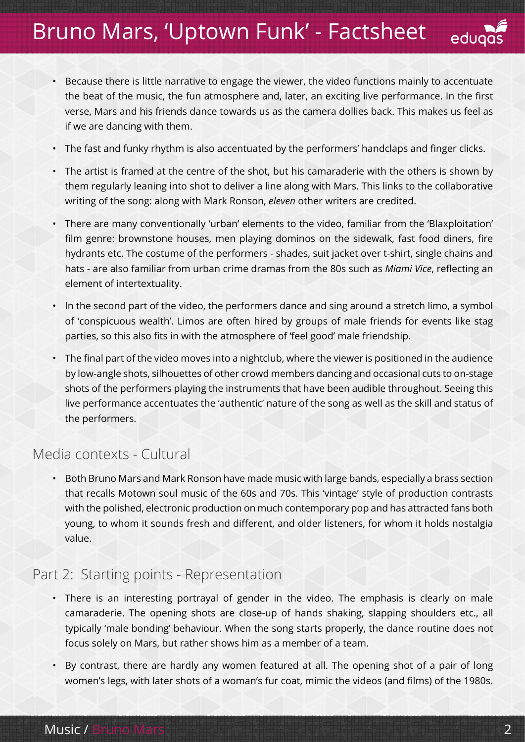- Because there is little narrative to engage the viewer, the video functions mainly to accentuate the beat of the music, the fun atmosphere and, later, an exciting live performance. In the first verse, Mars and his friends dance towards us as the camera dollies back. This makes us feel as if we are dancing with them.
- The fast and funky rhythm is also accentuated by the performers' handclaps and finger clicks.
- The artist is framed at the centre of the shot, but his camaraderie with the others is shown by them regularly leaning into shot to deliver a line along with Mars. This links to the collaborative writing of the song: along with Mark Ronson, *eleven* other writers are credited.
- There are many conventionally 'urban' elements to the video, familiar from the 'Blaxploitation' film genre: brownstone houses, men playing dominos on the sidewalk, fast food diners, fire hydrants etc. The costume of the performers - shades, suit jacket over t-shirt, single chains and hats - are also familiar from urban crime dramas from the 80s such as *Miami Vice*, reflecting an element of intertextuality.
- In the second part of the video, the performers dance and sing around a stretch limo, a symbol of 'conspicuous wealth'. Limos are often hired by groups of male friends for events like stag parties, so this also fits in with the atmosphere of 'feel good' male friendship.
- The final part of the video moves into a nightclub, where the viewer is positioned in the audience by low-angle shots, silhouettes of other crowd members dancing and occasional cuts to on-stage shots of the performers playing the instruments that have been audible throughout. Seeing this live performance accentuates the 'authentic' nature of the song as well as the skill and status of the performers.

#### Media contexts - Cultural

• Both Bruno Mars and Mark Ronson have made music with large bands, especially a brass section that recalls Motown soul music of the 60s and 70s. This 'vintage' style of production contrasts with the polished, electronic production on much contemporary pop and has attracted fans both young, to whom it sounds fresh and different, and older listeners, for whom it holds nostalgia value.

#### Part 2: Starting points - Representation

- There is an interesting portrayal of gender in the video. The emphasis is clearly on male camaraderie. The opening shots are close-up of hands shaking, slapping shoulders etc., all typically 'male bonding' behaviour. When the song starts properly, the dance routine does not focus solely on Mars, but rather shows him as a member of a team.
- By contrast, there are hardly any women featured at all. The opening shot of a pair of long women's legs, with later shots of a woman's fur coat, mimic the videos (and films) of the 1980s.

edugas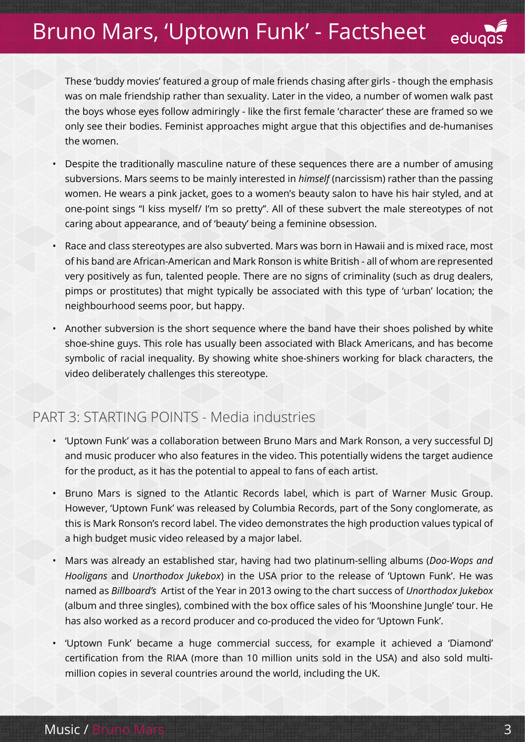These 'buddy movies' featured a group of male friends chasing after girls - though the emphasis was on male friendship rather than sexuality. Later in the video, a number of women walk past the boys whose eyes follow admiringly - like the first female 'character' these are framed so we only see their bodies. Feminist approaches might argue that this objectifies and de-humanises the women.

- Despite the traditionally masculine nature of these sequences there are a number of amusing subversions. Mars seems to be mainly interested in *himself* (narcissism) rather than the passing women. He wears a pink jacket, goes to a women's beauty salon to have his hair styled, and at one-point sings "I kiss myself/ I'm so pretty". All of these subvert the male stereotypes of not caring about appearance, and of 'beauty' being a feminine obsession.
- Race and class stereotypes are also subverted. Mars was born in Hawaii and is mixed race, most of his band are African-American and Mark Ronson is white British - all of whom are represented very positively as fun, talented people. There are no signs of criminality (such as drug dealers, pimps or prostitutes) that might typically be associated with this type of 'urban' location; the neighbourhood seems poor, but happy.
- Another subversion is the short sequence where the band have their shoes polished by white shoe-shine guys. This role has usually been associated with Black Americans, and has become symbolic of racial inequality. By showing white shoe-shiners working for black characters, the video deliberately challenges this stereotype.

## PART 3: STARTING POINTS - Media industries

- 'Uptown Funk' was a collaboration between Bruno Mars and Mark Ronson, a very successful DJ and music producer who also features in the video. This potentially widens the target audience for the product, as it has the potential to appeal to fans of each artist.
- Bruno Mars is signed to the Atlantic Records label, which is part of Warner Music Group. However, 'Uptown Funk' was released by Columbia Records, part of the Sony conglomerate, as this is Mark Ronson's record label. The video demonstrates the high production values typical of a high budget music video released by a major label.
- Mars was already an established star, having had two platinum-selling albums (*Doo-Wops and Hooligans* and *Unorthodox Jukebox*) in the USA prior to the release of 'Uptown Funk'. He was named as *Billboard's* Artist of the Year in 2013 owing to the chart success of *Unorthodox Jukebox*  (album and three singles), combined with the box office sales of his 'Moonshine Jungle' tour. He has also worked as a record producer and co-produced the video for 'Uptown Funk'.
- 'Uptown Funk' became a huge commercial success, for example it achieved a 'Diamond' certification from the RIAA (more than 10 million units sold in the USA) and also sold multimillion copies in several countries around the world, including the UK.